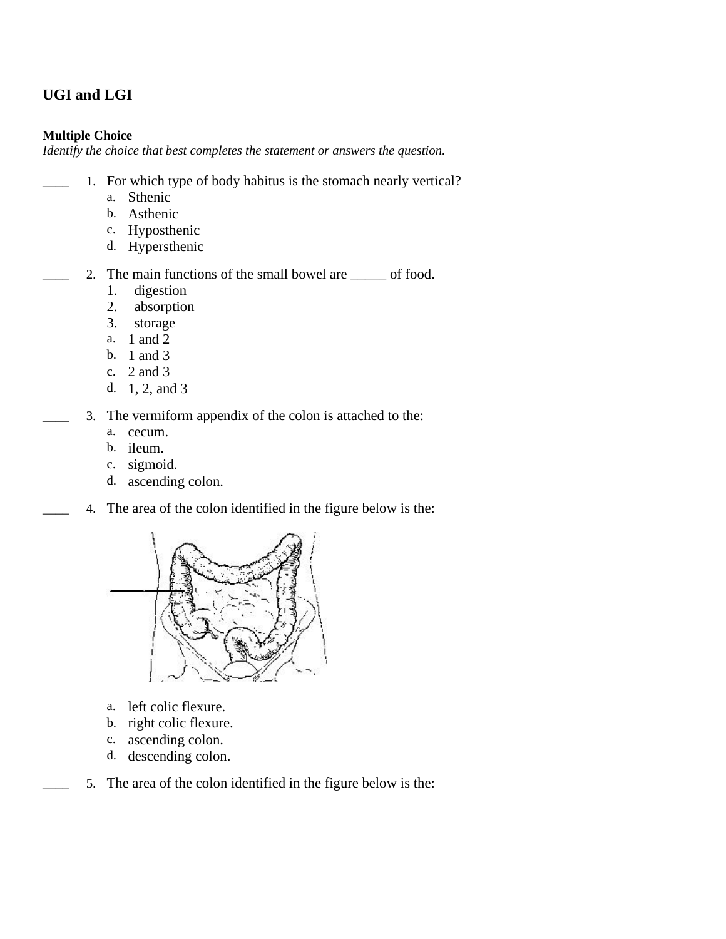## **UGI and LGI**

## **Multiple Choice**

*Identify the choice that best completes the statement or answers the question.*

- 1. For which type of body habitus is the stomach nearly vertical?
	- a. Sthenic
	- b. Asthenic
	- c. Hyposthenic
	- d. Hypersthenic
- 2. The main functions of the small bowel are section of food.
	- 1. digestion
	- 2. absorption
	- 3. storage
	- a. 1 and 2
	- b. 1 and 3
	- c. 2 and 3
	- d. 1, 2, and 3
	- 3. The vermiform appendix of the colon is attached to the:
		- a. cecum.
		- b. ileum.
		- c. sigmoid.
		- d. ascending colon.
	- \_\_\_\_ 4. The area of the colon identified in the figure below is the:



- a. left colic flexure.
- b. right colic flexure.
- c. ascending colon.
- d. descending colon.
- 5. The area of the colon identified in the figure below is the: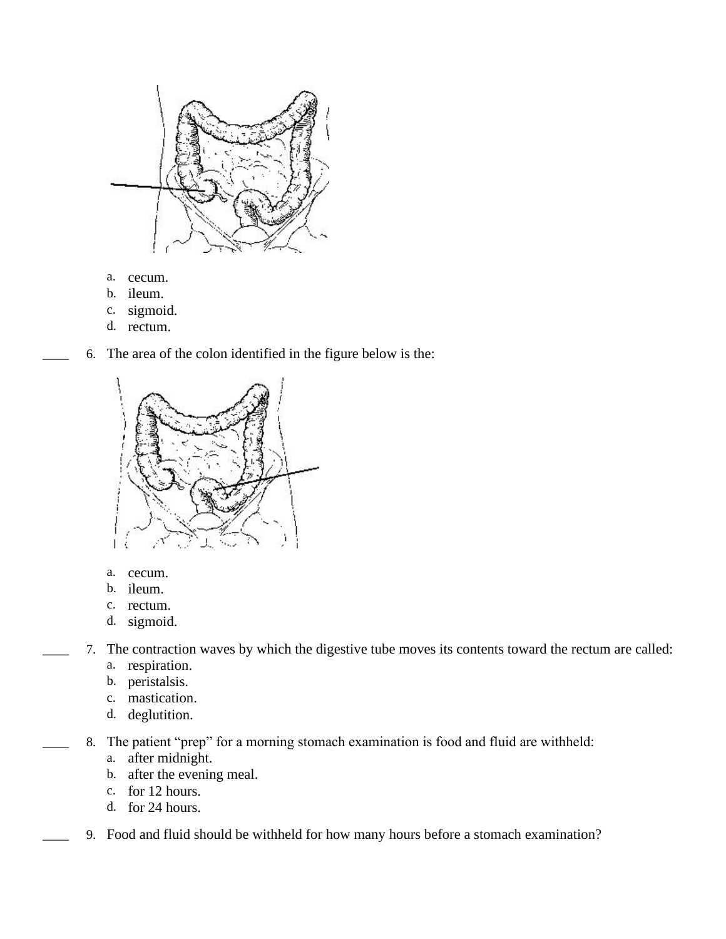

- a. cecum.
- b. ileum.
- c. sigmoid.
- d. rectum.





- a. cecum.
- b. ileum.
- c. rectum.
- d. sigmoid.
- \_\_\_\_ 7. The contraction waves by which the digestive tube moves its contents toward the rectum are called:
	- a. respiration.
	- b. peristalsis.
	- c. mastication.
	- d. deglutition.
	- 8. The patient "prep" for a morning stomach examination is food and fluid are withheld:
		- a. after midnight.
		- b. after the evening meal.
		- c. for 12 hours.
		- d. for 24 hours.
	- \_\_\_\_ 9. Food and fluid should be withheld for how many hours before a stomach examination?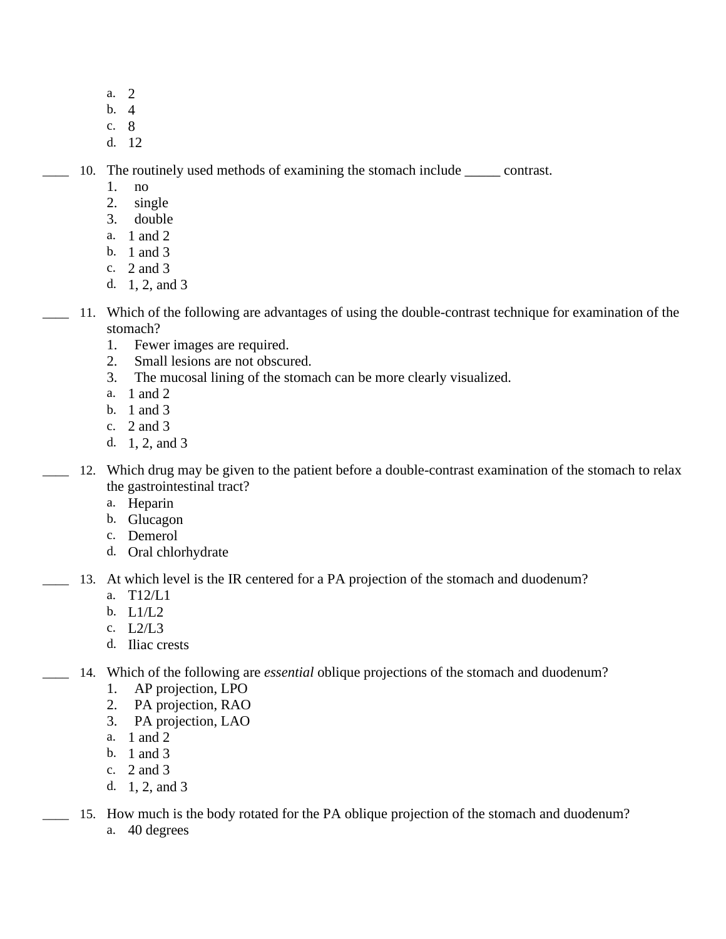- a. 2
- b. 4
- c. 8
- d. 12

10. The routinely used methods of examining the stomach include contrast.

- 1. no
- 2. single
- 3. double
- a. 1 and 2
- b. 1 and 3
- c. 2 and 3
- d. 1, 2, and 3
- \_\_\_\_ 11. Which of the following are advantages of using the double-contrast technique for examination of the stomach?
	- 1. Fewer images are required.
	- 2. Small lesions are not obscured.
	- 3. The mucosal lining of the stomach can be more clearly visualized.
	- a. 1 and 2
	- b. 1 and 3
	- c. 2 and 3
	- d. 1, 2, and 3
- 12. Which drug may be given to the patient before a double-contrast examination of the stomach to relax the gastrointestinal tract?
	- a. Heparin
	- b. Glucagon
	- c. Demerol
	- d. Oral chlorhydrate
- \_\_\_\_ 13. At which level is the IR centered for a PA projection of the stomach and duodenum?
	- a. T12/L1
	- b. L1/L2
	- c. L2/L3
	- d. Iliac crests
- \_\_\_\_ 14. Which of the following are *essential* oblique projections of the stomach and duodenum?
	- 1. AP projection, LPO
	- 2. PA projection, RAO
	- 3. PA projection, LAO
	- a. 1 and 2
	- b. 1 and 3
	- c. 2 and 3
	- d. 1, 2, and 3
	- \_\_\_\_ 15. How much is the body rotated for the PA oblique projection of the stomach and duodenum? a. 40 degrees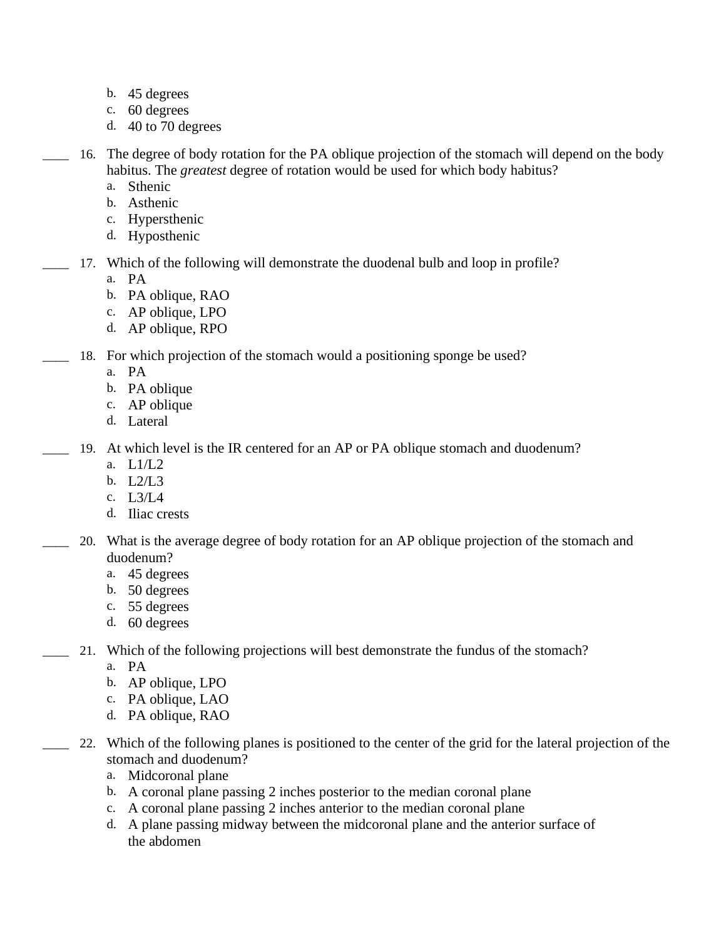- b. 45 degrees
- c. 60 degrees
- d. 40 to 70 degrees
- \_\_\_\_ 16. The degree of body rotation for the PA oblique projection of the stomach will depend on the body habitus. The *greatest* degree of rotation would be used for which body habitus?
	- a. Sthenic
	- b. Asthenic
	- c. Hypersthenic
	- d. Hyposthenic
- 17. Which of the following will demonstrate the duodenal bulb and loop in profile?
	- a. PA
	- b. PA oblique, RAO
	- c. AP oblique, LPO
	- d. AP oblique, RPO
- 18. For which projection of the stomach would a positioning sponge be used?
	- a. PA
	- b. PA oblique
	- c. AP oblique
	- d. Lateral
- 19. At which level is the IR centered for an AP or PA oblique stomach and duodenum?
	- a. L1/L2
	- b. L2/L3
	- c. L3/L4
	- d. Iliac crests
	- \_\_\_\_ 20. What is the average degree of body rotation for an AP oblique projection of the stomach and duodenum?
		- a. 45 degrees
		- b. 50 degrees
		- c. 55 degrees
		- d. 60 degrees
- 21. Which of the following projections will best demonstrate the fundus of the stomach?
	- a. PA
	- b. AP oblique, LPO
	- c. PA oblique, LAO
	- d. PA oblique, RAO
- \_\_\_\_ 22. Which of the following planes is positioned to the center of the grid for the lateral projection of the stomach and duodenum?
	- a. Midcoronal plane
	- b. A coronal plane passing 2 inches posterior to the median coronal plane
	- c. A coronal plane passing 2 inches anterior to the median coronal plane
	- d. A plane passing midway between the midcoronal plane and the anterior surface of the abdomen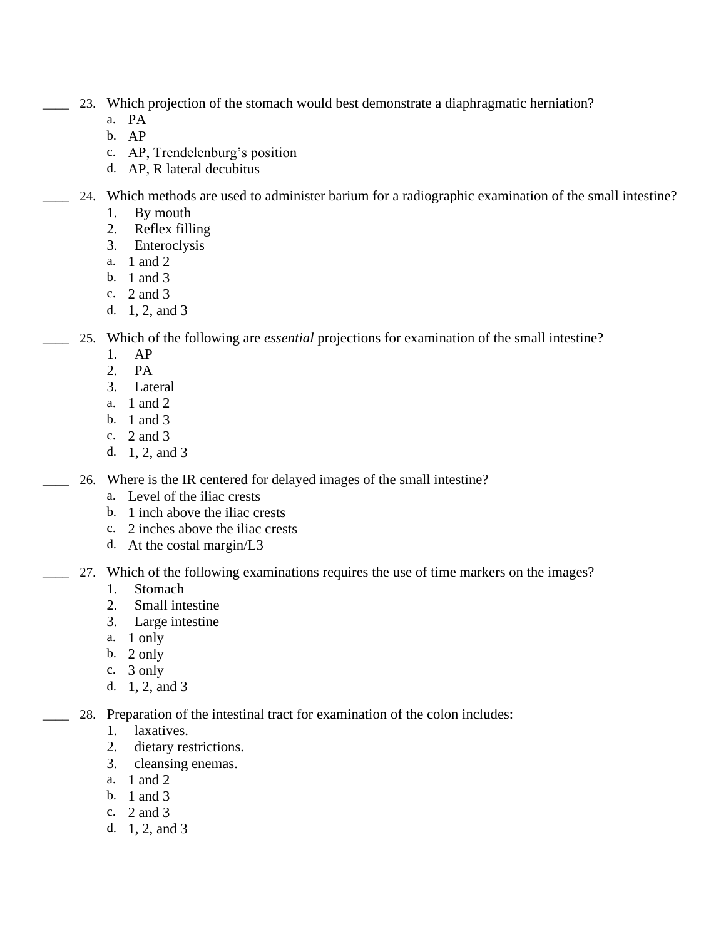- 23. Which projection of the stomach would best demonstrate a diaphragmatic herniation?
	- a. PA
	- b. AP
	- c. AP, Trendelenburg's position
	- d. AP, R lateral decubitus
- 24. Which methods are used to administer barium for a radiographic examination of the small intestine?
	- 1. By mouth
	- 2. Reflex filling
	- 3. Enteroclysis
	- a. 1 and 2
	- b. 1 and 3
	- c. 2 and 3
	- d. 1, 2, and 3
- \_\_\_\_ 25. Which of the following are *essential* projections for examination of the small intestine?
	- 1. AP
	- 2. PA
	- 3. Lateral
	- a. 1 and 2
	- b. 1 and 3
	- c. 2 and 3
	- d. 1, 2, and 3

26. Where is the IR centered for delayed images of the small intestine?

- a. Level of the iliac crests
- b. 1 inch above the iliac crests
- c. 2 inches above the iliac crests
- d. At the costal margin/L3
- 27. Which of the following examinations requires the use of time markers on the images?
	- 1. Stomach
	- 2. Small intestine
	- 3. Large intestine
	- a. 1 only
	- b. 2 only
	- c. 3 only
	- d. 1, 2, and 3
	- 28. Preparation of the intestinal tract for examination of the colon includes:
		- 1. laxatives.
		- 2. dietary restrictions.
		- 3. cleansing enemas.
		- a. 1 and 2
		- b. 1 and 3
		- c. 2 and 3
		- d. 1, 2, and 3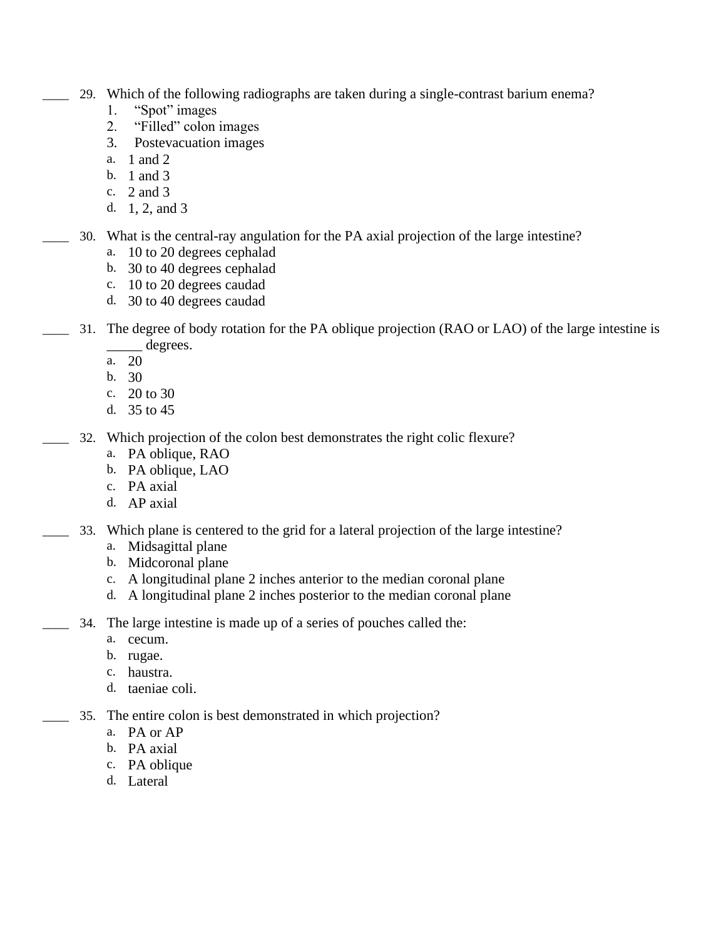- \_\_\_\_ 29. Which of the following radiographs are taken during a single-contrast barium enema?
	- 1. "Spot" images
	- 2. "Filled" colon images
	- 3. Postevacuation images
	- a. 1 and 2
	- b. 1 and 3
	- c. 2 and 3
	- d. 1, 2, and 3
- \_\_\_\_ 30. What is the central-ray angulation for the PA axial projection of the large intestine?
	- a. 10 to 20 degrees cephalad
	- b. 30 to 40 degrees cephalad
	- c. 10 to 20 degrees caudad
	- d. 30 to 40 degrees caudad
- 31. The degree of body rotation for the PA oblique projection (RAO or LAO) of the large intestine is \_\_\_\_\_ degrees.
	- a. 20
	- b. 30
	- c. 20 to 30
	- d. 35 to 45
- 32. Which projection of the colon best demonstrates the right colic flexure?
	- a. PA oblique, RAO
	- b. PA oblique, LAO
	- c. PA axial
	- d. AP axial
- 33. Which plane is centered to the grid for a lateral projection of the large intestine?
	- a. Midsagittal plane
	- b. Midcoronal plane
	- c. A longitudinal plane 2 inches anterior to the median coronal plane
	- d. A longitudinal plane 2 inches posterior to the median coronal plane
	- \_\_\_\_ 34. The large intestine is made up of a series of pouches called the:
		- a. cecum.
			- b. rugae.
			- c. haustra.
			- d. taeniae coli.
- 35. The entire colon is best demonstrated in which projection?
	- a. PA or AP
	- b. PA axial
	- c. PA oblique
	- d. Lateral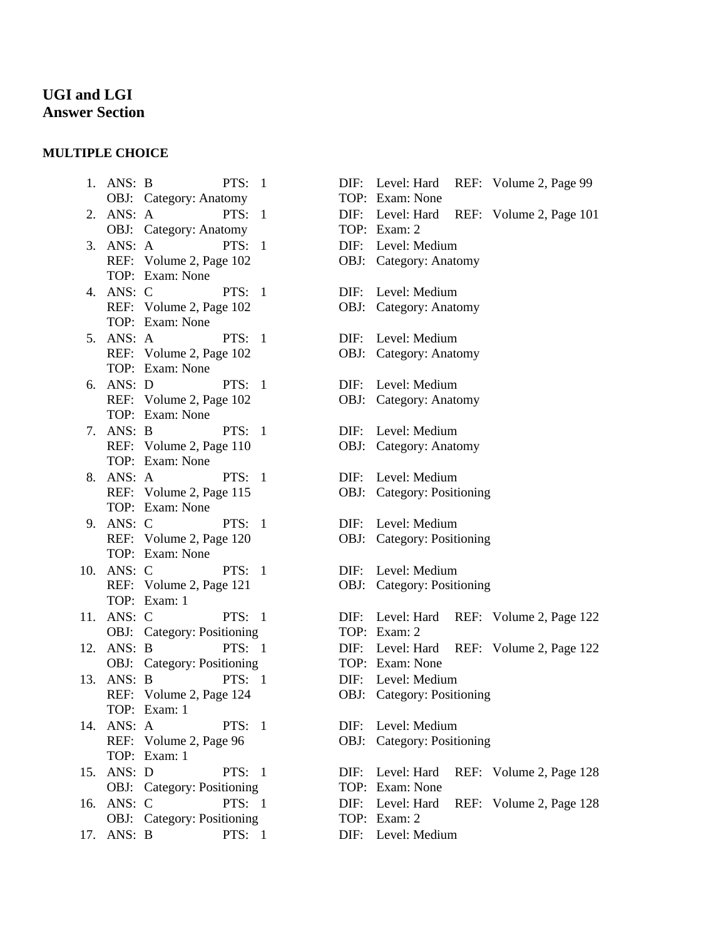## **UGI and LGI Answer Section**

## **MULTIPLE CHOICE**

1. ANS: B PTS: 1 OBJ: Category: Anatomy 2. ANS: A PTS: 1 OBJ: Category: Anatomy 3. ANS: A PTS: 1 REF: Volume 2, Page 102 TOP: Exam: None 4. ANS: C PTS: 1 REF: Volume 2, Page 102 TOP: Exam: None 5. ANS: A PTS: 1 REF: Volume 2, Page 102 TOP: Exam: None 6. ANS: D PTS: 1 REF: Volume 2, Page 102 TOP: Exam: None 7. ANS: B PTS: 1 REF: Volume 2, Page 110 TOP: Exam: None 8. ANS: A PTS: 1 REF: Volume 2, Page 115 TOP: Exam: None 9. ANS: C PTS: 1 REF: Volume 2, Page 120 TOP: Exam: None 10. ANS: C PTS: 1 REF: Volume 2, Page 121 TOP: Exam: 1 11. ANS: C PTS: 1 OBJ: Category: Positioning 12. ANS: B PTS: 1 OBJ: Category: Positioning 13. ANS: B PTS: 1 REF: Volume 2, Page 124 TOP: Exam: 1 14. ANS: A PTS: 1 REF: Volume 2, Page 96 TOP: Exam: 1 15. ANS: D PTS: 1 OBJ: Category: Positioning 16. ANS: C PTS: 1 OBJ: Category: Positioning 17. ANS: B PTS: 1 DIF: Level: Medium

|                               | DIF: Level: Hard<br>TOP: Exam: None            |      | REF: Volume 2, Page 99                   |  |
|-------------------------------|------------------------------------------------|------|------------------------------------------|--|
|                               |                                                |      | DIF: Level: Hard REF: Volume 2, Page 101 |  |
|                               | TOP: Exam: 2                                   |      |                                          |  |
|                               | DIF: Level: Medium                             |      |                                          |  |
|                               | OBJ: Category: Anatomy                         |      |                                          |  |
| DIF: Level: Medium            |                                                |      |                                          |  |
|                               | <b>OBJ:</b> Category: Anatomy                  |      |                                          |  |
|                               |                                                |      |                                          |  |
| DIF:                          | Level: Medium<br><b>OBJ:</b> Category: Anatomy |      |                                          |  |
|                               |                                                |      |                                          |  |
|                               | DIF: Level: Medium                             |      |                                          |  |
| <b>OBJ:</b> Category: Anatomy |                                                |      |                                          |  |
|                               | DIF: Level: Medium                             |      |                                          |  |
|                               | <b>OBJ:</b> Category: Anatomy                  |      |                                          |  |
|                               |                                                |      |                                          |  |
|                               | DIF: Level: Medium                             |      |                                          |  |
| OBJ: Category: Positioning    |                                                |      |                                          |  |
|                               | DIF: Level: Medium                             |      |                                          |  |
|                               | OBJ: Category: Positioning                     |      |                                          |  |
|                               |                                                |      |                                          |  |
|                               | DIF: Level: Medium                             |      |                                          |  |
|                               | OBJ: Category: Positioning                     |      |                                          |  |
|                               |                                                |      | DIF: Level: Hard REF: Volume 2, Page 122 |  |
|                               | TOP: Exam: 2                                   |      |                                          |  |
|                               |                                                |      | DIF: Level: Hard REF: Volume 2, Page 122 |  |
|                               | TOP: Exam: None                                |      |                                          |  |
|                               | DIF: Level: Medium                             |      |                                          |  |
| OBJ: Category: Positioning    |                                                |      |                                          |  |
| DIF: Level: Medium            |                                                |      |                                          |  |
|                               | OBJ: Category: Positioning                     |      |                                          |  |
|                               |                                                |      |                                          |  |
|                               | DIF: Level: Hard<br>TOP: Exam: None            | REF: | Volume 2, Page 128                       |  |
|                               | DIF: Level: Hard                               |      | REF: Volume 2, Page 128                  |  |
|                               | TOP: Exam: 2                                   |      |                                          |  |
|                               |                                                |      |                                          |  |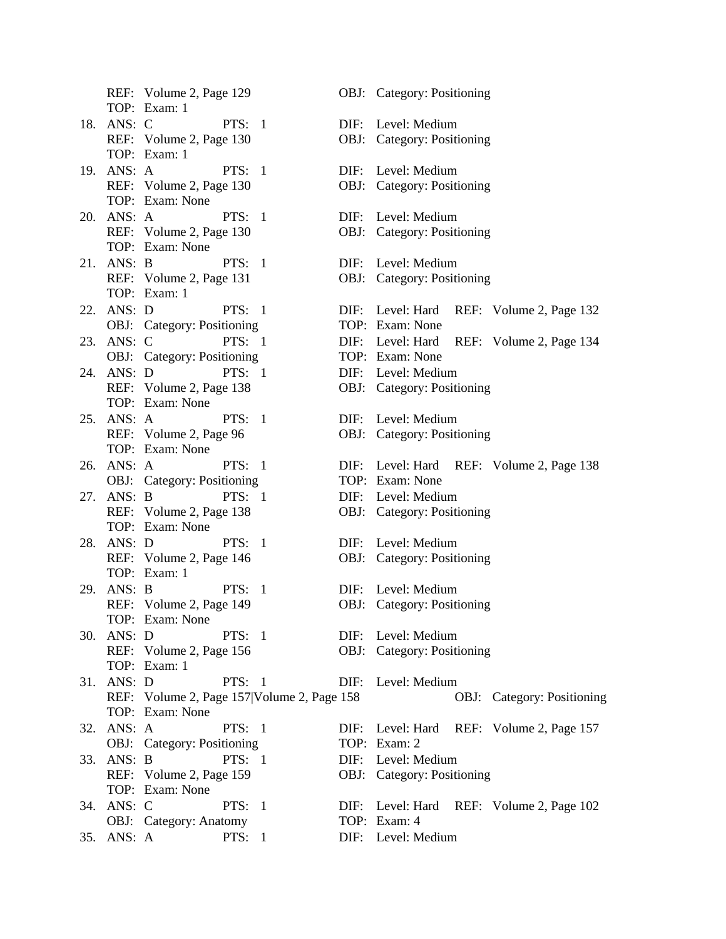REF: Volume 2, Page 129 OBJ: Category: Positioning TOP: Exam: 1 18. ANS: C PTS: 1 DIF: Level: Medium REF: Volume 2, Page 130 OBJ: Category: Positioning TOP: Exam: 1 19. ANS: A PTS: 1 DIF: Level: Medium REF: Volume 2, Page 130 OBJ: Category: Positioning TOP: Exam: None 20. ANS: A PTS: 1 DIF: Level: Medium REF: Volume 2, Page 130 OBJ: Category: Positioning TOP: Exam: None 21. ANS: B PTS: 1 DIF: Level: Medium REF: Volume 2, Page 131 OBJ: Category: Positioning TOP: Exam: 1 22. ANS: D PTS: 1 DIF: Level: Hard REF: Volume 2, Page 132 OBJ: Category: Positioning TOP: Exam: None 23. ANS: C PTS: 1 DIF: Level: Hard REF: Volume 2, Page 134 OBJ: Category: Positioning TOP: Exam: None 24. ANS: D PTS: 1 DIF: Level: Medium REF: Volume 2, Page 138 OBJ: Category: Positioning TOP: Exam: None 25. ANS: A PTS: 1 DIF: Level: Medium REF: Volume 2, Page 96 OBJ: Category: Positioning TOP: Exam: None 26. ANS: A PTS: 1 DIF: Level: Hard REF: Volume 2, Page 138 OBJ: Category: Positioning TOP: Exam: None 27. ANS: B PTS: 1 DIF: Level: Medium REF: Volume 2, Page 138 OBJ: Category: Positioning TOP: Exam: None 28. ANS: D PTS: 1 DIF: Level: Medium REF: Volume 2, Page 146 OBJ: Category: Positioning TOP: Exam: 1 29. ANS: B PTS: 1 DIF: Level: Medium REF: Volume 2, Page 149 OBJ: Category: Positioning TOP: Exam: None 30. ANS: D PTS: 1 DIF: Level: Medium REF: Volume 2, Page 156 OBJ: Category: Positioning TOP: Exam: 1 31. ANS: D PTS: 1 DIF: Level: Medium TOP: Exam: None 32. ANS: A PTS: 1 DIF: Level: Hard REF: Volume 2, Page 157 OBJ: Category: Positioning TOP: Exam: 2 33. ANS: B PTS: 1 DIF: Level: Medium REF: Volume 2, Page 159 OBJ: Category: Positioning TOP: Exam: None 34. ANS: C PTS: 1 DIF: Level: Hard REF: Volume 2, Page 102 OBJ: Category: Anatomy TOP: Exam: 4 35. ANS: A PTS: 1 DIF: Level: Medium

REF: Volume 2, Page 157|Volume 2, Page 158 OBJ: Category: Positioning